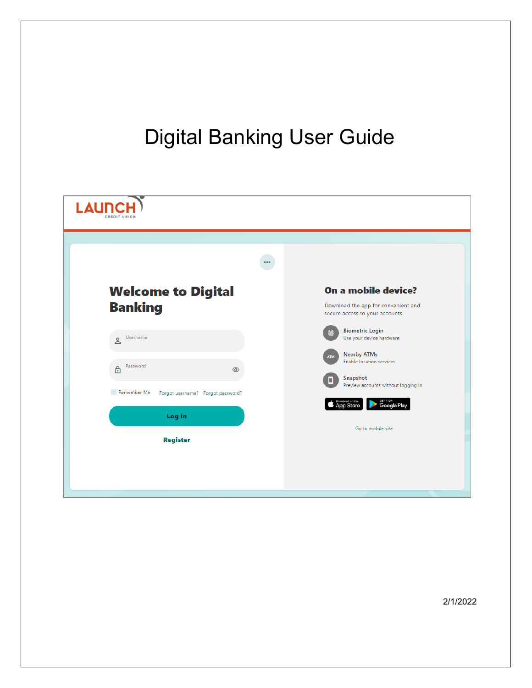# Digital Banking User Guide

| $\cdots$<br><b>Welcome to Digital</b>            | On a mobile device?                                                    |
|--------------------------------------------------|------------------------------------------------------------------------|
| <b>Banking</b>                                   | Download the app for convenient and<br>secure access to your accounts. |
| Username<br>Å                                    | <b>Biometric Login</b><br>Use your device hardware                     |
| Password<br>$\triangle$                          | <b>Nearby ATMs</b><br><b>ATM</b><br>Enable location services           |
| Remember Me<br>Forgot username? Forgot password? | Snapshot<br>Preview accounts without logging in                        |
| Log in                                           | GETITON<br><b>Google Play</b><br><b>S</b> Pownload on the              |
| <b>Register</b>                                  | Go to mobile site                                                      |
|                                                  |                                                                        |
|                                                  |                                                                        |

2/1/2022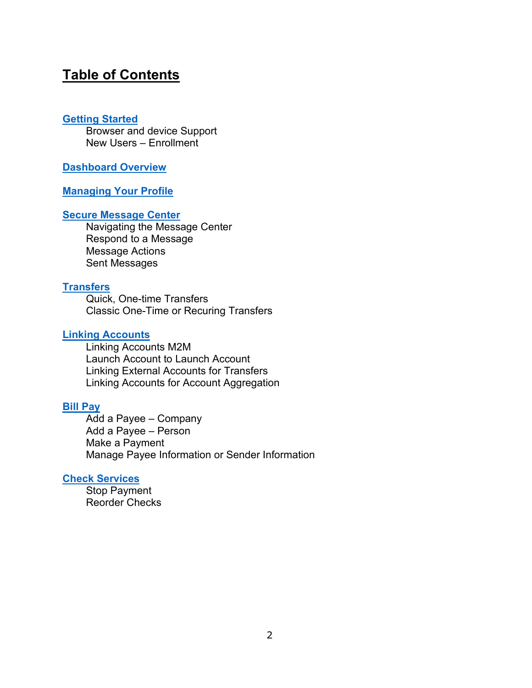# **Table of Contents**

#### **[Getting Started](#page-2-0)**

Browser and device Support New Users – Enrollment

#### **[Dashboard Overview](#page-3-0)**

#### **[Managing Your Profile](#page-4-0)**

#### **[Secure Message Center](#page-5-0)**

Navigating the Message Center Respond to a Message Message Actions Sent Messages

#### **[Transfers](#page-8-0)**

Quick, One-time Transfers Classic One-Time or Recuring Transfers

#### **[Linking Accounts](#page-10-0)**

Linking Accounts M2M Launch Account to Launch Account Linking External Accounts for Transfers Linking Accounts for Account Aggregation

#### **[Bill Pay](#page-11-0)**

Add a Payee – Company Add a Payee – Person Make a Payment Manage Payee Information or Sender Information

#### **[Check Services](#page-12-0)**

Stop Payment Reorder Checks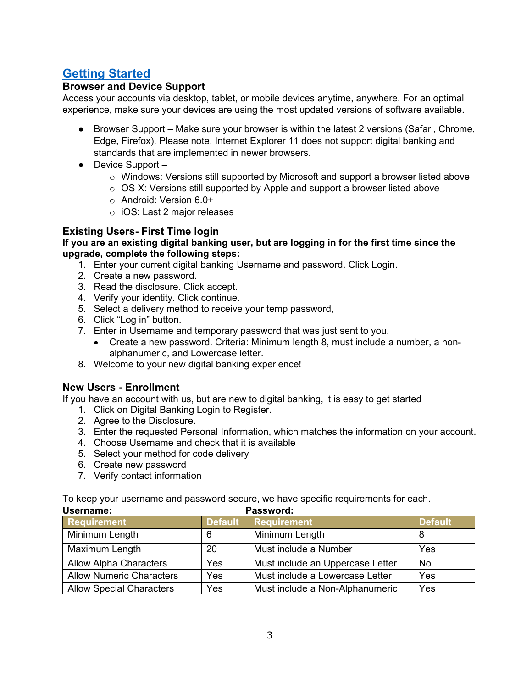# <span id="page-2-0"></span>**[Getting Started](#page-2-0)**

## **Browser and Device Support**

Access your accounts via desktop, tablet, or mobile devices anytime, anywhere. For an optimal experience, make sure your devices are using the most updated versions of software available.

- Browser Support Make sure your browser is within the latest 2 versions (Safari, Chrome, Edge, Firefox). Please note, Internet Explorer 11 does not support digital banking and standards that are implemented in newer browsers.
- Device Support
	- o Windows: Versions still supported by Microsoft and support a browser listed above
	- o OS X: Versions still supported by Apple and support a browser listed above
	- o Android: Version 6.0+
	- o iOS: Last 2 major releases

## **Existing Users- First Time login**

#### **If you are an existing digital banking user, but are logging in for the first time since the upgrade, complete the following steps:**

- 1. Enter your current digital banking Username and password. Click Login.
- 2. Create a new password.
- 3. Read the disclosure. Click accept.
- 4. Verify your identity. Click continue.
- 5. Select a delivery method to receive your temp password,
- 6. Click "Log in" button.
- 7. Enter in Username and temporary password that was just sent to you.
	- Create a new password. Criteria: Minimum length 8, must include a number, a nonalphanumeric, and Lowercase letter.
- 8. Welcome to your new digital banking experience!

#### **New Users - Enrollment**

If you have an account with us, but are new to digital banking, it is easy to get started

- 1. Click on Digital Banking Login to Register.
- 2. Agree to the Disclosure.
- 3. Enter the requested Personal Information, which matches the information on your account.
- 4. Choose Username and check that it is available
- 5. Select your method for code delivery
- 6. Create new password
- 7. Verify contact information

To keep your username and password secure, we have specific requirements for each.

| Username:                       |                | Password:                        |                |
|---------------------------------|----------------|----------------------------------|----------------|
| <b>Requirement</b>              | <b>Default</b> | <b>Requirement</b>               | <b>Default</b> |
| Minimum Length                  | 6              | Minimum Length                   | 8              |
| Maximum Length                  | 20             | Must include a Number            | Yes            |
| <b>Allow Alpha Characters</b>   | Yes            | Must include an Uppercase Letter | <b>No</b>      |
| <b>Allow Numeric Characters</b> | Yes            | Must include a Lowercase Letter  | Yes            |
| <b>Allow Special Characters</b> | Yes            | Must include a Non-Alphanumeric  | Yes            |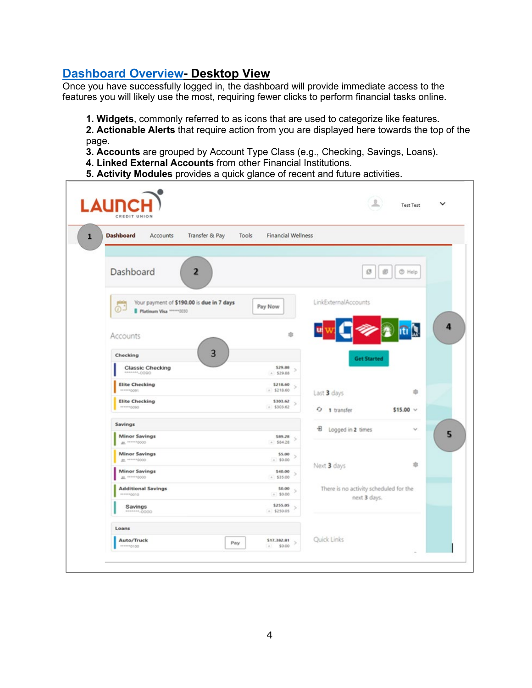# <span id="page-3-0"></span>**[Dashboard Overview-](#page-3-0) Desktop View**

Once you have successfully logged in, the dashboard will provide immediate access to the features you will likely use the most, requiring fewer clicks to perform financial tasks online.

**1. Widgets**, commonly referred to as icons that are used to categorize like features.

**2. Actionable Alerts** that require action from you are displayed here towards the top of the page.

- **3. Accounts** are grouped by Account Type Class (e.g., Checking, Savings, Loans).
- **4. Linked External Accounts** from other Financial Institutions.
- **5. Activity Modules** provides a quick glance of recent and future activities.

| Transfer & Pay<br><b>Dashboard</b><br>Accounts                                     | <b>Financial Wellness</b><br>Tools |                                        |
|------------------------------------------------------------------------------------|------------------------------------|----------------------------------------|
| Dashboard<br>$\overline{2}$                                                        |                                    | <b>B</b> Help<br>G<br>ø                |
| Your payment of \$190.00 is due in 7 days<br>$\odot$<br>Platinum Visa ******* 0030 | Pay Now                            | LinkExternalAccounts                   |
| Accounts                                                                           | th.                                |                                        |
| 3<br>Checking                                                                      |                                    | <b>Get Started</b>                     |
| Classic Checking<br>----------                                                     | \$29.88<br>A.529.88                |                                        |
| <b>Elite Checking</b><br>recommen                                                  | \$218.60<br>$\leq$<br>$A$ \$218.60 | 取<br>Last 3 days                       |
| <b>Elite Checking</b><br>------ 0090                                               | \$303.62<br>$\leq$<br>$A$ \$303.62 | $-9$ 1 transfer<br>$$15.00~\vee$       |
| Savings                                                                            |                                    | $\checkmark$                           |
| <b>Minor Savings</b><br>an. ****** 0000                                            | \$89.28<br>5<br>A.584.28           | +8 Logged in 2 times                   |
| <b>Minor Savings</b><br>at. ******0000                                             | \$5.00<br>$A$ \$0.00               |                                        |
| <b>Minor Savings</b><br><b>JA</b> <sup>645691</sup> 0000                           | \$40.00<br>$A$ \$35.00             | 市<br>Next 3 days                       |
| <b>Additional Savings</b><br>APROVEMENT                                            | \$0.00<br>A.50.00                  | There is no activity scheduled for the |
| Savings<br>$+40000$                                                                | \$255.05<br>s<br>$A$ \$250.05      | next 3 days.                           |
| Loans                                                                              |                                    |                                        |
| Auto/Truck                                                                         | \$17,382.81<br>Pay                 | Quick Links                            |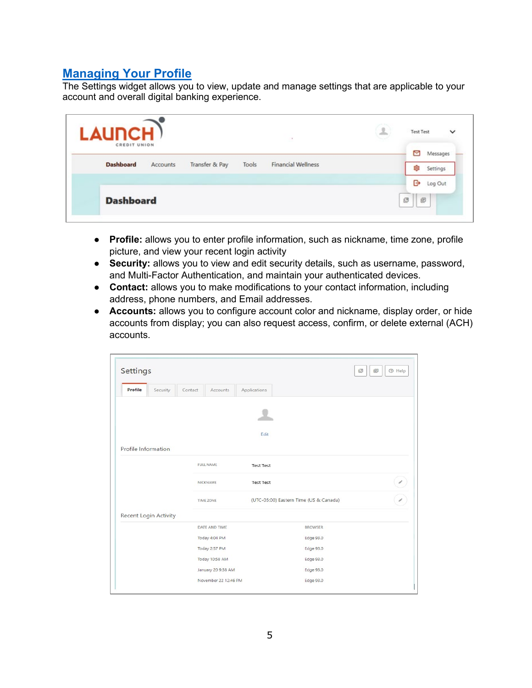# <span id="page-4-0"></span>**[Managing Your Profile](#page-4-0)**

The Settings widget allows you to view, update and manage settings that are applicable to your account and overall digital banking experience.

| LAUNCH)          |          |                |       | $\mathcal{O}$             | 9 | <b>Test Test</b><br>$\checkmark$ |
|------------------|----------|----------------|-------|---------------------------|---|----------------------------------|
| CREDIT UNION     |          |                |       |                           |   | ⊠<br>Messages                    |
| <b>Dashboard</b> | Accounts | Transfer & Pay | Tools | <b>Financial Wellness</b> |   | හි<br>Settings                   |
|                  |          |                |       |                           |   | G<br>Log Out                     |
| <b>Dashboard</b> |          |                |       |                           |   | 巴<br>e                           |

- **Profile:** allows you to enter profile information, such as nickname, time zone, profile picture, and view your recent login activity
- **Security:** allows you to view and edit security details, such as username, password, and Multi-Factor Authentication, and maintain your authenticated devices.
- **Contact:** allows you to make modifications to your contact information, including address, phone numbers, and Email addresses.
- **Accounts:** allows you to configure account color and nickname, display order, or hide accounts from display; you can also request access, confirm, or delete external (ACH) accounts.

| Settings            |                       |         |                      |                  |                                        | <b>O</b> Help<br>凹<br>画 |
|---------------------|-----------------------|---------|----------------------|------------------|----------------------------------------|-------------------------|
| Profile             | Security              | Contact | Accounts             | Applications     |                                        |                         |
|                     |                       |         |                      |                  |                                        |                         |
|                     |                       |         |                      | Edit             |                                        |                         |
| Profile Information |                       |         |                      |                  |                                        |                         |
|                     |                       |         | <b>FULL NAME</b>     | <b>Test Test</b> |                                        |                         |
|                     |                       |         | NICKNAME             | <b>Test Test</b> |                                        |                         |
|                     |                       |         | <b>TIME ZONE</b>     |                  | (UTC-05:00) Eastern Time (US & Canada) |                         |
|                     | Recent Login Activity |         |                      |                  |                                        |                         |
|                     |                       |         | DATE AND TIME        |                  | <b>BROWSER</b>                         |                         |
|                     |                       |         | Today 4:04 PM        |                  | Edge 93.0                              |                         |
|                     |                       |         | Today 2:57 PM        |                  | Edge 93.0                              |                         |
|                     |                       |         | Today 10:58 AM       |                  | Edge 93.0                              |                         |
|                     |                       |         | January 20 9:38 AM   |                  | Edge 93.0                              |                         |
|                     |                       |         | November 22 12:46 PM |                  | Edge 93.0                              |                         |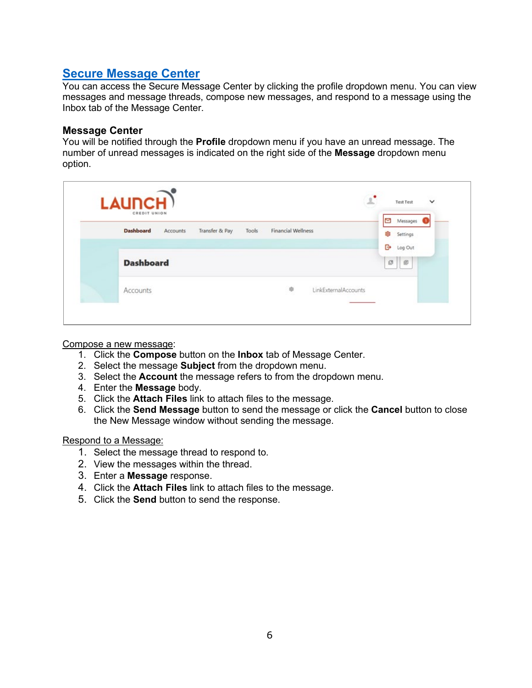# <span id="page-5-0"></span>**[Secure Message Center](#page-5-0)**

You can access the Secure Message Center by clicking the profile dropdown menu. You can view messages and message threads, compose new messages, and respond to a message using the Inbox tab of the Message Center.

#### **Message Center**

You will be notified through the **Profile** dropdown menu if you have an unread message. The number of unread messages is indicated on the right side of the **Message** dropdown menu option.

| CREDIT UNION     |          |                |       |                    |                      |        | Messages |
|------------------|----------|----------------|-------|--------------------|----------------------|--------|----------|
| <b>Dashboard</b> | Accounts | Transfer & Pay | Tools | Financial Wellness |                      | 8      | Settings |
|                  |          |                |       |                    |                      | G۰     | Log Out  |
| <b>Dashboard</b> |          |                |       |                    |                      | $\Box$ | 回        |
| Accounts         |          |                |       | 市                  | LinkExternalAccounts |        |          |

#### Compose a new message:

- 1. Click the **Compose** button on the **Inbox** tab of Message Center.
- 2. Select the message **Subject** from the dropdown menu.
- 3. Select the **Account** the message refers to from the dropdown menu.
- 4. Enter the **Message** body.
- 5. Click the **Attach Files** link to attach files to the message.
- 6. Click the **Send Message** button to send the message or click the **Cancel** button to close the New Message window without sending the message.

#### Respond to a Message:

- 1. Select the message thread to respond to.
- 2. View the messages within the thread.
- 3. Enter a **Message** response.
- 4. Click the **Attach Files** link to attach files to the message.
- 5. Click the **Send** button to send the response.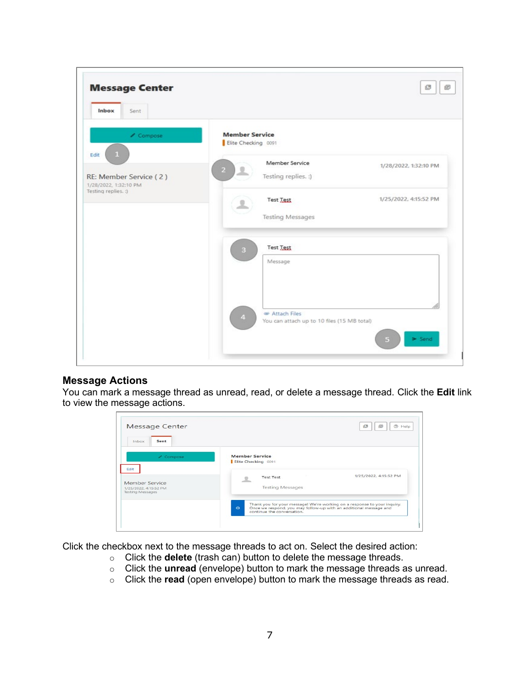

#### **Message Actions**

You can mark a message thread as unread, read, or delete a message thread. Click the **Edit** link to view the message actions.

| Sent<br>Inhox                                                      |                                                                                                                                                                                                                   |
|--------------------------------------------------------------------|-------------------------------------------------------------------------------------------------------------------------------------------------------------------------------------------------------------------|
| / Compose<br>Edit                                                  | <b>Member Service</b><br>Elite Checking 0091<br>1/25/2022, 4:15:52 PM<br><b>Test Test</b>                                                                                                                         |
| Member Service<br>1/25/2022, 4:15:52 PM<br><b>Testing Messages</b> | <b>Testing Messages</b><br>Thank you for your message! We're working on a response to your inquiry.<br>$\odot$<br>Once we respond, you may follow-up with an additional message and<br>continue the conversation. |

Click the checkbox next to the message threads to act on. Select the desired action:

- o Click the **delete** (trash can) button to delete the message threads.
- o Click the **unread** (envelope) button to mark the message threads as unread.
- o Click the **read** (open envelope) button to mark the message threads as read.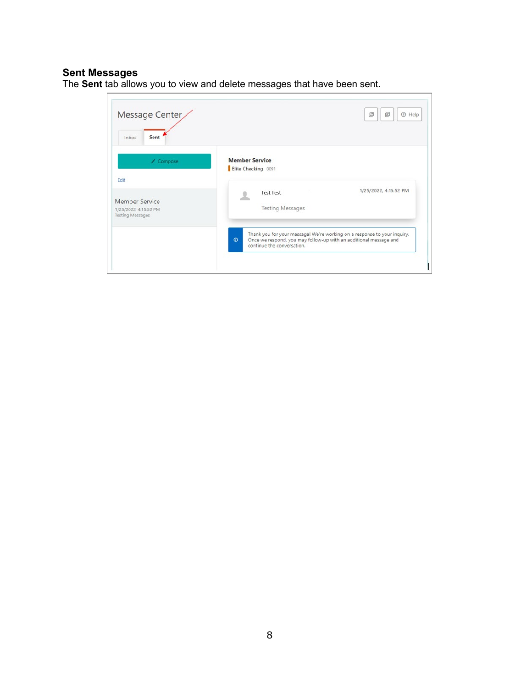# **Sent Messages**

The **Sent** tab allows you to view and delete messages that have been sent.

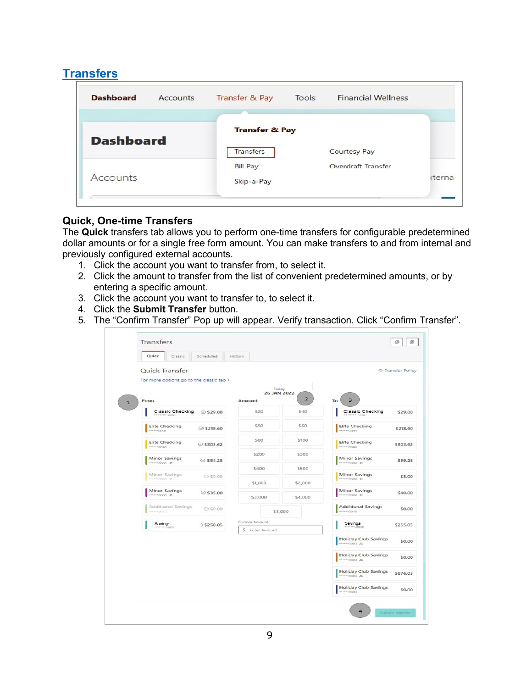# <span id="page-8-0"></span>**[Transfers](#page-8-0)**

| <b>Dashboard</b> | Accounts | <b>Transfer &amp; Pay</b> | Tools | <b>Financial Wellness</b> |        |
|------------------|----------|---------------------------|-------|---------------------------|--------|
| <b>Dashboard</b> |          | <b>Transfer &amp; Pay</b> |       |                           |        |
|                  |          | <b>Transfers</b>          |       | <b>Courtesy Pay</b>       |        |
|                  |          | <b>Bill Pay</b>           |       | Overdraft Transfer        |        |
| <b>Accounts</b>  |          | Skip-a-Pay                |       |                           | cterna |

# **Quick, One-time Transfers**

The **Quick** transfers tab allows you to perform one-time transfers for configurable predetermined dollar amounts or for a single free form amount. You can make transfers to and from internal and previously configured external accounts.

- 1. Click the account you want to transfer from, to select it.
- 2. Click the amount to transfer from the list of convenient predetermined amounts, or by entering a specific amount.
- 3. Click the account you want to transfer to, to select it.
- 4. Click the **Submit Transfer** button.
- 5. The "Confirm Transfer" Pop up will appear. Verify transaction. Click "Confirm Transfer".

| Quick<br>Classic<br>Scheduled                          | History       |                      |                |                                               |                          |
|--------------------------------------------------------|---------------|----------------------|----------------|-----------------------------------------------|--------------------------|
| Quick Transfer                                         |               |                      |                |                                               | <b>E</b> Transfer Policy |
| For more options go to the classic tab >               |               |                      |                |                                               |                          |
|                                                        |               | Today<br>26 JAN 2022 |                |                                               |                          |
| From                                                   | Amount        |                      | $\overline{2}$ | $\overline{\mathbf{3}}$<br>To                 |                          |
| Classic Checking<br>◎ \$29.88<br>0000.4444             |               | \$20                 | \$40           | Classic Checking<br>contractors               | \$29.88                  |
| <b>Elite Checking</b><br>$O$ \$218.60<br>PROD=====     |               | \$50                 | \$60           | <b>Elite Checking</b><br>*******0091          | \$218.60                 |
| <b>Elite Checking</b><br>◎ \$303.62<br>--------------- |               | \$80                 | \$100          | <b>Elite Checking</b><br>------0090           | \$303.62                 |
| Minor Savings<br>◎ \$84.28<br>AL 0000 *****            |               | \$200                | \$300          | Minor Savings<br><b>22.</b> 0000 ******       | \$89.28                  |
| Minor Savings<br>⊙ \$0.00                              |               | \$400                | \$500          | Minor Savings                                 | \$5.00                   |
| ------0000----                                         |               | \$1,000              | \$2.000        |                                               |                          |
| Minor Savings<br>$@$ \$35.00<br>-------------          |               | \$3,000              | \$4,000        | Minor Savings<br>------ 0000 -----            | \$40.00                  |
| Additional Savings<br>◎ \$0.00<br>0100 ******          |               |                      | \$5,000        | <b>Additional Savings</b>                     | \$0.00                   |
| Savings<br>$>$ \$250.05<br>$-0000$                     | Custom Amount |                      |                | Savings<br>$-0000$                            | \$255.05                 |
|                                                        |               | 5 Enter Amount       |                |                                               |                          |
|                                                        |               |                      |                | <b>Holiday Club Savings</b><br>------ 0003 45 | \$0.00                   |
|                                                        |               |                      |                | <b>Holiday Club Savings</b><br>-------------- | \$0.00                   |
|                                                        |               |                      |                | <b>Holiday Club Savings</b><br>AL E000******  | \$876.03                 |
|                                                        |               |                      |                | <b>Holiday Club Savings</b><br>******0003     | \$0.00                   |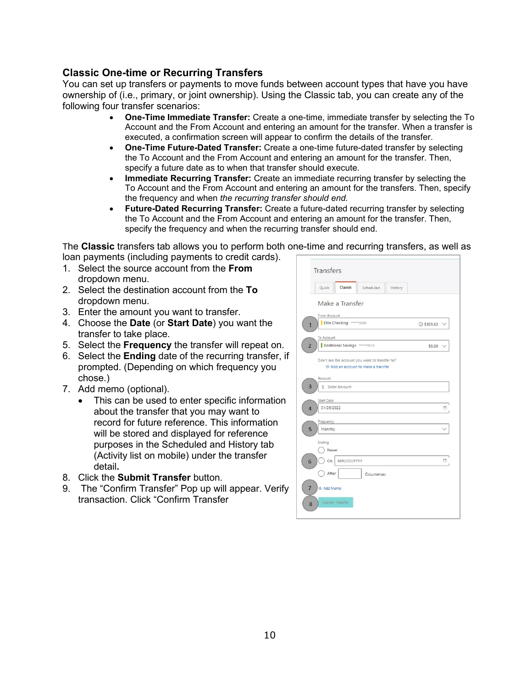## **Classic One-time or Recurring Transfers**

You can set up transfers or payments to move funds between account types that have you have ownership of (i.e., primary, or joint ownership). Using the Classic tab, you can create any of the following four transfer scenarios:

- **One-Time Immediate Transfer:** Create a one-time, immediate transfer by selecting the To Account and the From Account and entering an amount for the transfer. When a transfer is executed, a confirmation screen will appear to confirm the details of the transfer.
- **One-Time Future-Dated Transfer:** Create a one-time future-dated transfer by selecting the To Account and the From Account and entering an amount for the transfer. Then, specify a future date as to when that transfer should execute.
- **Immediate Recurring Transfer:** Create an immediate recurring transfer by selecting the To Account and the From Account and entering an amount for the transfers. Then, specify the frequency and when *the recurring transfer should end.*
- **Future-Dated Recurring Transfer:** Create a future-dated recurring transfer by selecting the To Account and the From Account and entering an amount for the transfer. Then, specify the frequency and when the recurring transfer should end.

The **Classic** transfers tab allows you to perform both one-time and recurring transfers, as well as loan payments (including payments to credit cards).

- 1. Select the source account from the **From** dropdown menu.
- 2. Select the destination account from the **To** dropdown menu.
- 3. Enter the amount you want to transfer.
- 4. Choose the **Date** (or **Start Date**) you want the transfer to take place.
- 5. Select the **Frequency** the transfer will repeat on.
- 6. Select the **Ending** date of the recurring transfer, if prompted. (Depending on which frequency you chose.)
- 7. Add memo (optional).
	- This can be used to enter specific information about the transfer that you may want to record for future reference. This information will be stored and displayed for reference purposes in the Scheduled and History tab (Activity list on mobile) under the transfer detail**.**
- 8. Click the **Submit Transfer** button.
- 9. The "Confirm Transfer" Pop up will appear. Verify transaction. Click "Confirm Transfer

|                | <b>Transfers</b>                                                                              |    |
|----------------|-----------------------------------------------------------------------------------------------|----|
|                | Classic<br>Quick<br>Scheduled<br>History                                                      |    |
|                | Make a Transfer                                                                               |    |
|                | From Account                                                                                  |    |
| $\mathbf{1}$   | Elite Checking ******0090<br>◎ \$303.62 \                                                     |    |
|                | To Account                                                                                    |    |
| $\overline{2}$ | Additional Savings ****** 0010<br>$$0.00$ \                                                   |    |
|                | Don't see the account you want to transfer to?<br>Add an account to make a transfer<br>Amount |    |
| 3              | \$ Enter Amount                                                                               |    |
| $\overline{4}$ | <b>Start Date</b><br>01/26/2022                                                               | ₿  |
| 5              | Frequency<br>Monthly                                                                          |    |
|                | Ending<br>Never                                                                               |    |
| 6              | MM/DD/YYYY<br>On                                                                              | O. |
|                | After<br>Occurrences                                                                          |    |
| $\overline{7}$ | Add Memo                                                                                      |    |
| 8              | Submit Transfer                                                                               |    |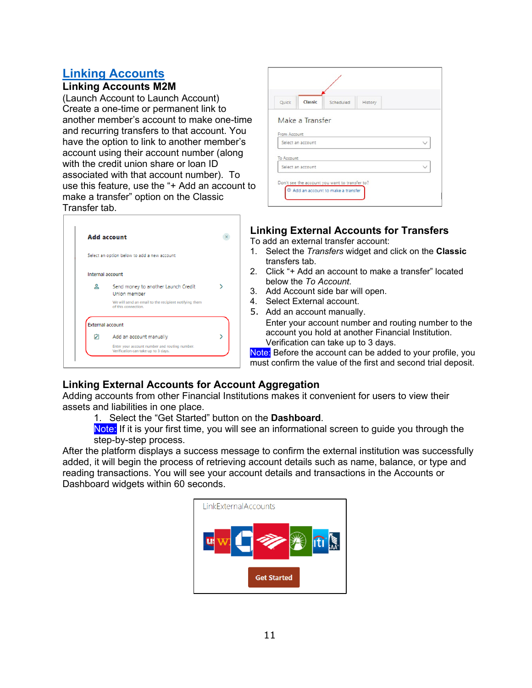# <span id="page-10-0"></span>**[Linking Accounts](#page-10-0)**

# **Linking Accounts M2M**

(Launch Account to Launch Account) Create a one-time or permanent link to another member's account to make one-time and recurring transfers to that account. You have the option to link to another member's account using their account number (along with the credit union share or loan ID associated with that account number). To use this feature, use the "+ Add an account to make a transfer" option on the Classic Transfer tab.



| Quick        | Classic           | Scheduled                                      | History |  |
|--------------|-------------------|------------------------------------------------|---------|--|
|              | Make a Transfer   |                                                |         |  |
| From Account |                   |                                                |         |  |
|              | Select an account |                                                |         |  |
|              |                   |                                                |         |  |
| To Account   |                   |                                                |         |  |
|              | Select an account |                                                |         |  |
|              |                   | Don't see the account you want to transfer to? |         |  |
|              |                   |                                                |         |  |

# **Linking External Accounts for Transfers**

To add an external transfer account:

- 1. Select the *Transfers* widget and click on the **Classic** transfers tab.
- 2. Click "+ Add an account to make a transfer" located below the *To Account.*
- 3. Add Account side bar will open.
- 4. Select External account.
- 5. Add an account manually.

Enter your account number and routing number to the account you hold at another Financial Institution. Verification can take up to 3 days.

Note: Before the account can be added to your profile, you must confirm the value of the first and second trial deposit.

# **Linking External Accounts for Account Aggregation**

Adding accounts from other Financial Institutions makes it convenient for users to view their assets and liabilities in one place.

1. Select the "Get Started" button on the **Dashboard**.

Note: If it is your first time, you will see an informational screen to guide you through the step-by-step process.

After the platform displays a success message to confirm the external institution was successfully added, it will begin the process of retrieving account details such as name, balance, or type and reading transactions. You will see your account details and transactions in the Accounts or Dashboard widgets within 60 seconds.

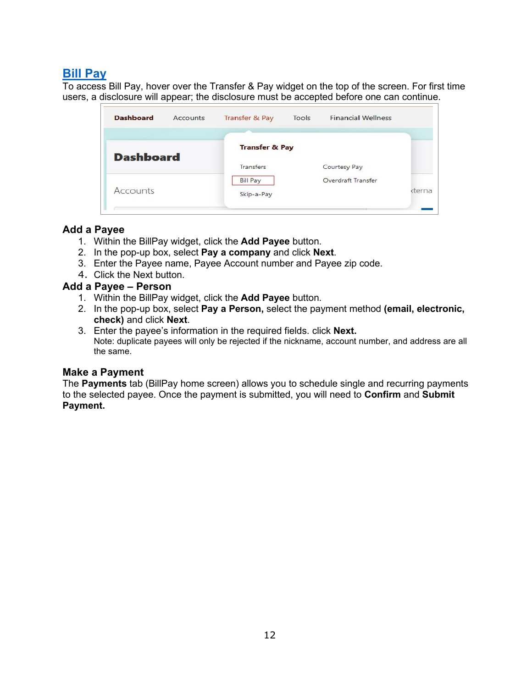# <span id="page-11-0"></span>**[Bill Pay](#page-11-0)**

To access Bill Pay, hover over the Transfer & Pay widget on the top of the screen. For first time users, a disclosure will appear; the disclosure must be accepted before one can continue.

| <b>Dashboard</b> | <b>Accounts</b> | Transfer & Pay                | <b>Tools</b> | <b>Financial Wellness</b> |        |
|------------------|-----------------|-------------------------------|--------------|---------------------------|--------|
|                  |                 |                               |              |                           |        |
| <b>Dashboard</b> |                 | <b>Transfer &amp; Pay</b>     |              |                           |        |
|                  |                 | <b>Transfers</b>              |              | Courtesy Pay              |        |
| Accounts         |                 | <b>Bill Pay</b><br>Skip-a-Pay |              | Overdraft Transfer        | cterna |
|                  |                 |                               |              |                           |        |

## **Add a Payee**

- 1. Within the BillPay widget, click the **Add Payee** button.
- 2. In the pop-up box, select **Pay a company** and click **Next**.
- 3. Enter the Payee name, Payee Account number and Payee zip code.
- 4. Click the Next button.

## **Add a Payee – Person**

- 1. Within the BillPay widget, click the **Add Payee** button.
- 2. In the pop-up box, select **Pay a Person,** select the payment method **(email, electronic, check)** and click **Next**.
- 3. Enter the payee's information in the required fields. click **Next.**  Note: duplicate payees will only be rejected if the nickname, account number, and address are all the same.

## **Make a Payment**

The **Payments** tab (BillPay home screen) allows you to schedule single and recurring payments to the selected payee. Once the payment is submitted, you will need to **Confirm** and **Submit Payment.**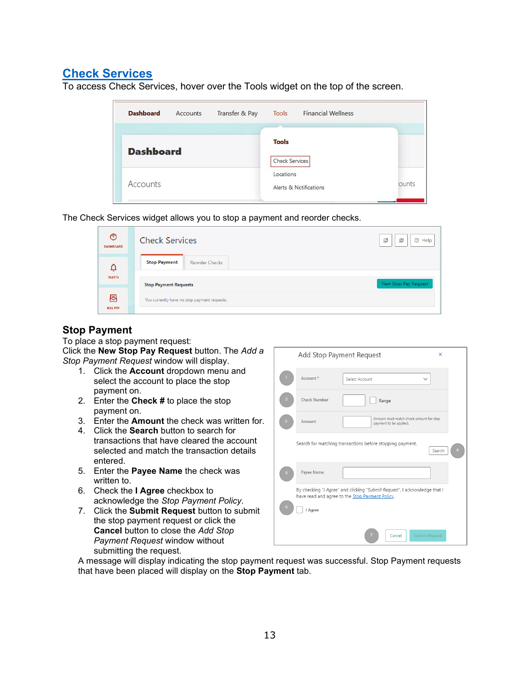# <span id="page-12-0"></span>**[Check Services](#page-12-0)**

To access Check Services, hover over the Tools widget on the top of the screen.

| <b>Dashboard</b> | Accounts | Transfer & Pay                     | <b>Financial Wellness</b><br><b>Tools</b> |               |
|------------------|----------|------------------------------------|-------------------------------------------|---------------|
| <b>Dashboard</b> |          |                                    | <b>Tools</b>                              |               |
|                  |          | <b>Check Services</b><br>Locations |                                           |               |
| Accounts         |          |                                    | Alerts & Notifications                    | <b>jounts</b> |

The Check Services widget allows you to stop a payment and reorder checks.

| $\circledcirc$<br><b>DASHBOARD</b> | <b>Check Services</b>                        | 回<br>凹<br><b>O</b> Help |
|------------------------------------|----------------------------------------------|-------------------------|
| Ū                                  | <b>Stop Payment</b><br><b>Reorder Checks</b> |                         |
| <b>ALERTS</b>                      | <b>Stop Payment Requests</b>                 | New Stop Pay Request    |
| 图<br><b>BILL PAY</b>               | You currently have no stop payment requests. |                         |

## **Stop Payment**

To place a stop payment request: Click the **New Stop Pay Request** button. The *Add a Stop Payment Request* window will display.

- 1. Click the **Account** dropdown menu and select the account to place the stop payment on.
- 2. Enter the **Check #** to place the stop payment on.
- 3. Enter the **Amount** the check was written for.
- 4. Click the **Search** button to search for transactions that have cleared the account selected and match the transaction details entered.
- 5. Enter the **Payee Name** the check was written to.
- 6. Check the **I Agree** checkbox to acknowledge the *Stop Payment Policy.*
- 7. Click the **Submit Request** button to submit the stop payment request or click the **Cancel** button to close the *Add Stop Payment Request* window without submitting the request.

|                | Add Stop Payment Request | X                                                                                                                                    |  |
|----------------|--------------------------|--------------------------------------------------------------------------------------------------------------------------------------|--|
|                | Account *                | Select Account<br>$\checkmark$                                                                                                       |  |
|                | <b>Check Number</b>      | Range                                                                                                                                |  |
|                | Amount                   | Amount must match check amount for stop<br>payment to be applied.                                                                    |  |
|                |                          | Search for matching transactions before stopping payment.<br>Search                                                                  |  |
| 5 <sub>5</sub> | Payee Name               |                                                                                                                                      |  |
|                |                          | By checking "I Agree" and clicking "Submit Request", I acknowledge that I<br>have read and agree to the <b>Stop Payment Policy</b> . |  |
| ы              | I Agree                  |                                                                                                                                      |  |
|                |                          | <b>Submit Request</b><br>Cancel                                                                                                      |  |

A message will display indicating the stop payment request was successful. Stop Payment requests that have been placed will display on the **Stop Payment** tab.